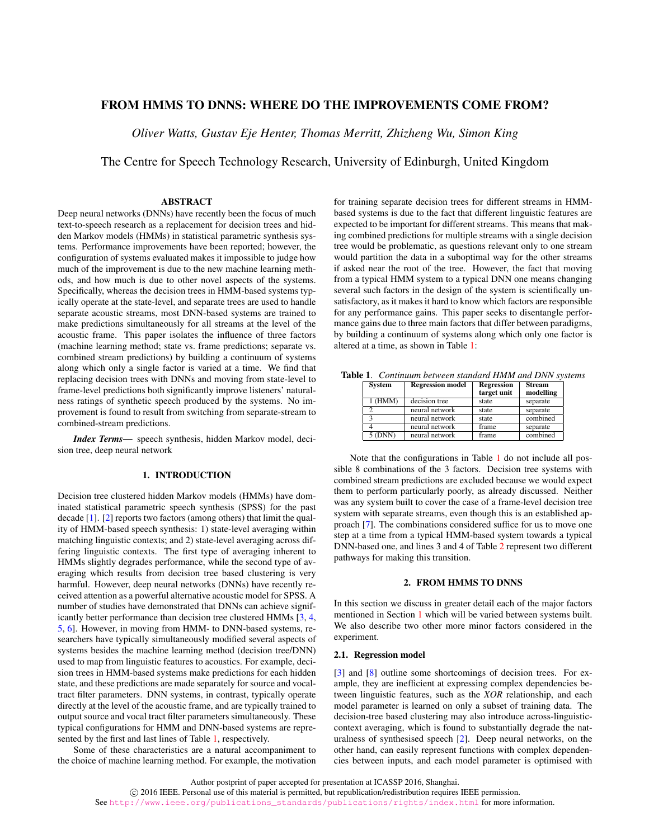# FROM HMMS TO DNNS: WHERE DO THE IMPROVEMENTS COME FROM?

*Oliver Watts, Gustav Eje Henter, Thomas Merritt, Zhizheng Wu, Simon King*

The Centre for Speech Technology Research, University of Edinburgh, United Kingdom

### ABSTRACT

Deep neural networks (DNNs) have recently been the focus of much text-to-speech research as a replacement for decision trees and hidden Markov models (HMMs) in statistical parametric synthesis systems. Performance improvements have been reported; however, the configuration of systems evaluated makes it impossible to judge how much of the improvement is due to the new machine learning methods, and how much is due to other novel aspects of the systems. Specifically, whereas the decision trees in HMM-based systems typically operate at the state-level, and separate trees are used to handle separate acoustic streams, most DNN-based systems are trained to make predictions simultaneously for all streams at the level of the acoustic frame. This paper isolates the influence of three factors (machine learning method; state vs. frame predictions; separate vs. combined stream predictions) by building a continuum of systems along which only a single factor is varied at a time. We find that replacing decision trees with DNNs and moving from state-level to frame-level predictions both significantly improve listeners' naturalness ratings of synthetic speech produced by the systems. No improvement is found to result from switching from separate-stream to combined-stream predictions.

*Index Terms*— speech synthesis, hidden Markov model, decision tree, deep neural network

#### 1. INTRODUCTION

<span id="page-0-1"></span>Decision tree clustered hidden Markov models (HMMs) have dominated statistical parametric speech synthesis (SPSS) for the past decade [\[1\]](#page-4-0). [\[2\]](#page-4-1) reports two factors (among others) that limit the quality of HMM-based speech synthesis: 1) state-level averaging within matching linguistic contexts; and 2) state-level averaging across differing linguistic contexts. The first type of averaging inherent to HMMs slightly degrades performance, while the second type of averaging which results from decision tree based clustering is very harmful. However, deep neural networks (DNNs) have recently received attention as a powerful alternative acoustic model for SPSS. A number of studies have demonstrated that DNNs can achieve significantly better performance than decision tree clustered HMMs [\[3,](#page-4-2) [4,](#page-4-3) [5,](#page-4-4) [6\]](#page-4-5). However, in moving from HMM- to DNN-based systems, researchers have typically simultaneously modified several aspects of systems besides the machine learning method (decision tree/DNN) used to map from linguistic features to acoustics. For example, decision trees in HMM-based systems make predictions for each hidden state, and these predictions are made separately for source and vocaltract filter parameters. DNN systems, in contrast, typically operate directly at the level of the acoustic frame, and are typically trained to output source and vocal tract filter parameters simultaneously. These typical configurations for HMM and DNN-based systems are represented by the first and last lines of Table [1,](#page-0-0) respectively.

Some of these characteristics are a natural accompaniment to the choice of machine learning method. For example, the motivation for training separate decision trees for different streams in HMMbased systems is due to the fact that different linguistic features are expected to be important for different streams. This means that making combined predictions for multiple streams with a single decision tree would be problematic, as questions relevant only to one stream would partition the data in a suboptimal way for the other streams if asked near the root of the tree. However, the fact that moving from a typical HMM system to a typical DNN one means changing several such factors in the design of the system is scientifically unsatisfactory, as it makes it hard to know which factors are responsible for any performance gains. This paper seeks to disentangle performance gains due to three main factors that differ between paradigms, by building a continuum of systems along which only one factor is altered at a time, as shown in Table [1:](#page-0-0)

<span id="page-0-0"></span>

| <b>System</b> | <b>Regression</b> model | <b>Regression</b><br>target unit | <b>Stream</b><br>modelling |
|---------------|-------------------------|----------------------------------|----------------------------|
| 1 (HMM)       | decision tree           | state                            | separate                   |
|               | neural network          | state                            | separate                   |
| ∍             | neural network          | state                            | combined                   |
|               | neural network          | frame                            | separate                   |
| $5$ (DNN)     | neural network          | frame                            | combined                   |

Table 1. *Continuum between standard HMM and DNN systems*

Note that the configurations in Table [1](#page-0-0) do not include all possible 8 combinations of the 3 factors. Decision tree systems with combined stream predictions are excluded because we would expect them to perform particularly poorly, as already discussed. Neither was any system built to cover the case of a frame-level decision tree system with separate streams, even though this is an established approach [\[7\]](#page-4-6). The combinations considered suffice for us to move one step at a time from a typical HMM-based system towards a typical DNN-based one, and lines 3 and 4 of Table [2](#page-1-0) represent two different pathways for making this transition.

# 2. FROM HMMS TO DNNS

In this section we discuss in greater detail each of the major factors mentioned in Section [1](#page-0-1) which will be varied between systems built. We also describe two other more minor factors considered in the experiment.

### 2.1. Regression model

[\[3\]](#page-4-2) and [\[8\]](#page-4-7) outline some shortcomings of decision trees. For example, they are inefficient at expressing complex dependencies between linguistic features, such as the *XOR* relationship, and each model parameter is learned on only a subset of training data. The decision-tree based clustering may also introduce across-linguisticcontext averaging, which is found to substantially degrade the naturalness of synthesised speech [\[2\]](#page-4-1). Deep neural networks, on the other hand, can easily represent functions with complex dependencies between inputs, and each model parameter is optimised with

Author postprint of paper accepted for presentation at ICASSP 2016, Shanghai.

c 2016 IEEE. Personal use of this material is permitted, but republication/redistribution requires IEEE permission.

See [http://www.ieee.org/publications\\_standards/publications/rights/index.html](http://www.ieee.org/publications_standards/publications/rights/index.html) for more information.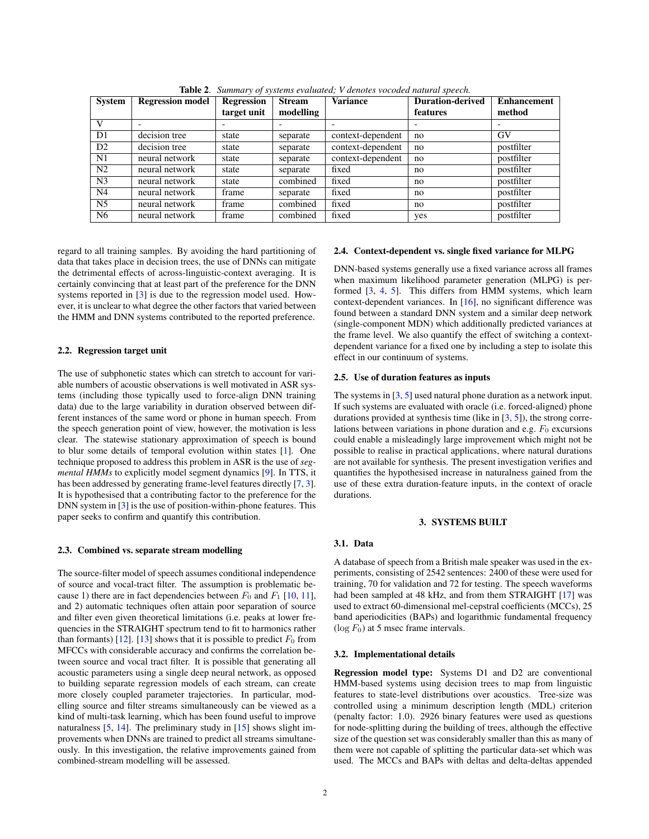| <b>System</b>  | <b>Regression model</b> | <b>Regression</b> | <b>Stream</b> | Variance          | <b>Duration-derived</b> | <b>Enhancement</b> |
|----------------|-------------------------|-------------------|---------------|-------------------|-------------------------|--------------------|
|                |                         | target unit       | modelling     |                   | features                | method             |
| V              |                         |                   |               |                   |                         |                    |
| D1             | decision tree           | state             | separate      | context-dependent | no                      | GV                 |
| D2             | decision tree           | state             | separate      | context-dependent | no                      | postfilter         |
| N1             | neural network          | state             | separate      | context-dependent | no                      | postfilter         |
| N <sub>2</sub> | neural network          | state             | separate      | fixed             | no                      | postfilter         |
| N <sub>3</sub> | neural network          | state             | combined      | fixed             | no                      | postfilter         |
| N <sub>4</sub> | neural network          | frame             | separate      | fixed             | no                      | postfilter         |
| N <sub>5</sub> | neural network          | frame             | combined      | fixed             | no                      | postfilter         |
| N <sub>6</sub> | neural network          | frame             | combined      | fixed             | yes                     | postfilter         |

<span id="page-1-0"></span>Table 2. *Summary of systems evaluated; V denotes vocoded natural speech.*

regard to all training samples. By avoiding the hard partitioning of data that takes place in decision trees, the use of DNNs can mitigate the detrimental effects of across-linguistic-context averaging. It is certainly convincing that at least part of the preference for the DNN systems reported in [\[3\]](#page-4-2) is due to the regression model used. However, it is unclear to what degree the other factors that varied between the HMM and DNN systems contributed to the reported preference.

### 2.2. Regression target unit

The use of subphonetic states which can stretch to account for variable numbers of acoustic observations is well motivated in ASR systems (including those typically used to force-align DNN training data) due to the large variability in duration observed between different instances of the same word or phone in human speech. From the speech generation point of view, however, the motivation is less clear. The statewise stationary approximation of speech is bound to blur some details of temporal evolution within states [\[1\]](#page-4-0). One technique proposed to address this problem in ASR is the use of *segmental HMMs* to explicitly model segment dynamics [\[9\]](#page-4-8). In TTS, it has been addressed by generating frame-level features directly [\[7,](#page-4-6) [3\]](#page-4-2). It is hypothesised that a contributing factor to the preference for the DNN system in [\[3\]](#page-4-2) is the use of position-within-phone features. This paper seeks to confirm and quantify this contribution.

#### 2.3. Combined vs. separate stream modelling

The source-filter model of speech assumes conditional independence of source and vocal-tract filter. The assumption is problematic because 1) there are in fact dependencies between  $F_0$  and  $F_1$  [\[10,](#page-4-9) [11\]](#page-4-10), and 2) automatic techniques often attain poor separation of source and filter even given theoretical limitations (i.e. peaks at lower frequencies in the STRAIGHT spectrum tend to fit to harmonics rather than formants) [\[12\]](#page-4-11). [\[13\]](#page-4-12) shows that it is possible to predict  $F_0$  from MFCCs with considerable accuracy and confirms the correlation between source and vocal tract filter. It is possible that generating all acoustic parameters using a single deep neural network, as opposed to building separate regression models of each stream, can create more closely coupled parameter trajectories. In particular, modelling source and filter streams simultaneously can be viewed as a kind of multi-task learning, which has been found useful to improve naturalness [\[5,](#page-4-4) [14\]](#page-4-13). The preliminary study in [\[15\]](#page-4-14) shows slight improvements when DNNs are trained to predict all streams simultaneously. In this investigation, the relative improvements gained from combined-stream modelling will be assessed.

### 2.4. Context-dependent vs. single fixed variance for MLPG

DNN-based systems generally use a fixed variance across all frames when maximum likelihood parameter generation (MLPG) is performed [\[3,](#page-4-2) [4,](#page-4-3) [5\]](#page-4-4). This differs from HMM systems, which learn context-dependent variances. In [\[16\]](#page-4-15), no significant difference was found between a standard DNN system and a similar deep network (single-component MDN) which additionally predicted variances at the frame level. We also quantify the effect of switching a contextdependent variance for a fixed one by including a step to isolate this effect in our continuum of systems.

## 2.5. Use of duration features as inputs

The systems in [\[3,](#page-4-2) [5\]](#page-4-4) used natural phone duration as a network input. If such systems are evaluated with oracle (i.e. forced-aligned) phone durations provided at synthesis time (like in [\[3,](#page-4-2) [5\]](#page-4-4)), the strong correlations between variations in phone duration and e.g.  $F_0$  excursions could enable a misleadingly large improvement which might not be possible to realise in practical applications, where natural durations are not available for synthesis. The present investigation verifies and quantifies the hypothesised increase in naturalness gained from the use of these extra duration-feature inputs, in the context of oracle durations.

### 3. SYSTEMS BUILT

# <span id="page-1-1"></span>3.1. Data

A database of speech from a British male speaker was used in the experiments, consisting of 2542 sentences: 2400 of these were used for training, 70 for validation and 72 for testing. The speech waveforms had been sampled at 48 kHz, and from them STRAIGHT [\[17\]](#page-4-16) was used to extract 60-dimensional mel-cepstral coefficients (MCCs), 25 band aperiodicities (BAPs) and logarithmic fundamental frequency  $(\log F_0)$  at 5 msec frame intervals.

#### 3.2. Implementational details

Regression model type: Systems D1 and D2 are conventional HMM-based systems using decision trees to map from linguistic features to state-level distributions over acoustics. Tree-size was controlled using a minimum description length (MDL) criterion (penalty factor: 1.0). 2926 binary features were used as questions for node-splitting during the building of trees, although the effective size of the question set was considerably smaller than this as many of them were not capable of splitting the particular data-set which was used. The MCCs and BAPs with deltas and delta-deltas appended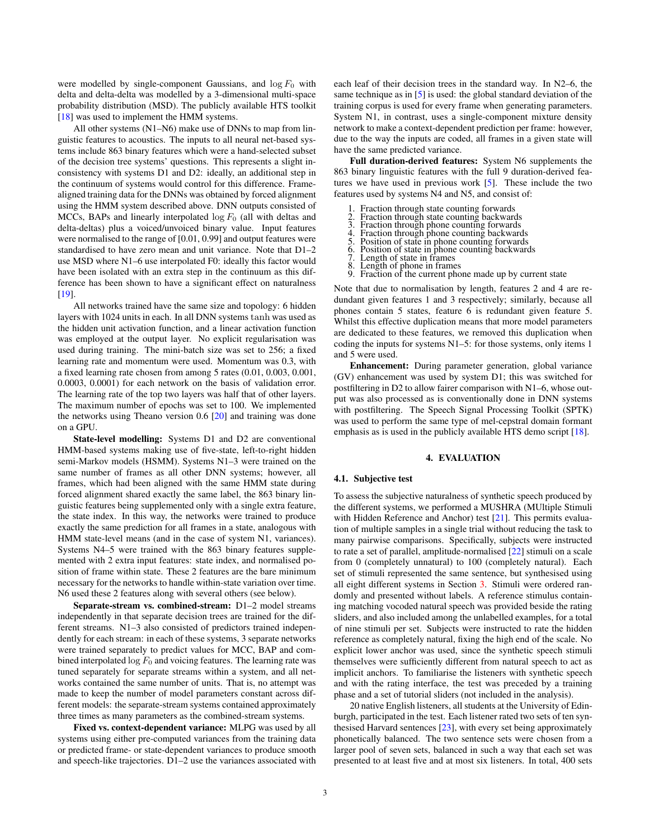were modelled by single-component Gaussians, and  $\log F_0$  with delta and delta-delta was modelled by a 3-dimensional multi-space probability distribution (MSD). The publicly available HTS toolkit [\[18\]](#page-4-17) was used to implement the HMM systems.

All other systems (N1–N6) make use of DNNs to map from linguistic features to acoustics. The inputs to all neural net-based systems include 863 binary features which were a hand-selected subset of the decision tree systems' questions. This represents a slight inconsistency with systems D1 and D2: ideally, an additional step in the continuum of systems would control for this difference. Framealigned training data for the DNNs was obtained by forced alignment using the HMM system described above. DNN outputs consisted of MCCs, BAPs and linearly interpolated  $log F_0$  (all with deltas and delta-deltas) plus a voiced/unvoiced binary value. Input features were normalised to the range of [0.01, 0.99] and output features were standardised to have zero mean and unit variance. Note that D1–2 use MSD where N1–6 use interpolated F0: ideally this factor would have been isolated with an extra step in the continuum as this difference has been shown to have a significant effect on naturalness [\[19\]](#page-4-18).

All networks trained have the same size and topology: 6 hidden layers with 1024 units in each. In all DNN systems tanh was used as the hidden unit activation function, and a linear activation function was employed at the output layer. No explicit regularisation was used during training. The mini-batch size was set to 256; a fixed learning rate and momentum were used. Momentum was 0.3, with a fixed learning rate chosen from among 5 rates (0.01, 0.003, 0.001, 0.0003, 0.0001) for each network on the basis of validation error. The learning rate of the top two layers was half that of other layers. The maximum number of epochs was set to 100. We implemented the networks using Theano version 0.6 [\[20\]](#page-4-19) and training was done on a GPU.

State-level modelling: Systems D1 and D2 are conventional HMM-based systems making use of five-state, left-to-right hidden semi-Markov models (HSMM). Systems N1–3 were trained on the same number of frames as all other DNN systems; however, all frames, which had been aligned with the same HMM state during forced alignment shared exactly the same label, the 863 binary linguistic features being supplemented only with a single extra feature, the state index. In this way, the networks were trained to produce exactly the same prediction for all frames in a state, analogous with HMM state-level means (and in the case of system N1, variances). Systems N4–5 were trained with the 863 binary features supplemented with 2 extra input features: state index, and normalised position of frame within state. These 2 features are the bare minimum necessary for the networks to handle within-state variation over time. N6 used these 2 features along with several others (see below).

Separate-stream vs. combined-stream: D1–2 model streams independently in that separate decision trees are trained for the different streams. N1–3 also consisted of predictors trained independently for each stream: in each of these systems, 3 separate networks were trained separately to predict values for MCC, BAP and combined interpolated  $\log F_0$  and voicing features. The learning rate was tuned separately for separate streams within a system, and all networks contained the same number of units. That is, no attempt was made to keep the number of model parameters constant across different models: the separate-stream systems contained approximately three times as many parameters as the combined-stream systems.

Fixed vs. context-dependent variance: MLPG was used by all systems using either pre-computed variances from the training data or predicted frame- or state-dependent variances to produce smooth and speech-like trajectories. D1–2 use the variances associated with each leaf of their decision trees in the standard way. In N2–6, the same technique as in [\[5\]](#page-4-4) is used: the global standard deviation of the training corpus is used for every frame when generating parameters. System N1, in contrast, uses a single-component mixture density network to make a context-dependent prediction per frame: however, due to the way the inputs are coded, all frames in a given state will have the same predicted variance.

Full duration-derived features: System N6 supplements the 863 binary linguistic features with the full 9 duration-derived features we have used in previous work [\[5\]](#page-4-4). These include the two features used by systems N4 and N5, and consist of:

- Fraction through state counting forwards
- 2. Fraction through state counting backwards
- 3. Fraction through phone counting forwards 4. Fraction through phone counting backwards
- 
- 5. Position of state in phone counting forwards 6. Position of state in phone counting backwards
- 7. Length of state in frames
- 8. Length of phone in frames
- Fraction of the current phone made up by current state

Note that due to normalisation by length, features 2 and 4 are redundant given features 1 and 3 respectively; similarly, because all phones contain 5 states, feature 6 is redundant given feature 5. Whilst this effective duplication means that more model parameters are dedicated to these features, we removed this duplication when coding the inputs for systems N1–5: for those systems, only items 1 and 5 were used.

Enhancement: During parameter generation, global variance (GV) enhancement was used by system D1; this was switched for postfiltering in D2 to allow fairer comparison with N1–6, whose output was also processed as is conventionally done in DNN systems with postfiltering. The Speech Signal Processing Toolkit (SPTK) was used to perform the same type of mel-cepstral domain formant emphasis as is used in the publicly available HTS demo script [\[18\]](#page-4-17).

### 4. EVALUATION

#### 4.1. Subjective test

To assess the subjective naturalness of synthetic speech produced by the different systems, we performed a MUSHRA (MUltiple Stimuli with Hidden Reference and Anchor) test [\[21\]](#page-4-20). This permits evaluation of multiple samples in a single trial without reducing the task to many pairwise comparisons. Specifically, subjects were instructed to rate a set of parallel, amplitude-normalised [\[22\]](#page-4-21) stimuli on a scale from 0 (completely unnatural) to 100 (completely natural). Each set of stimuli represented the same sentence, but synthesised using all eight different systems in Section [3.](#page-1-1) Stimuli were ordered randomly and presented without labels. A reference stimulus containing matching vocoded natural speech was provided beside the rating sliders, and also included among the unlabelled examples, for a total of nine stimuli per set. Subjects were instructed to rate the hidden reference as completely natural, fixing the high end of the scale. No explicit lower anchor was used, since the synthetic speech stimuli themselves were sufficiently different from natural speech to act as implicit anchors. To familiarise the listeners with synthetic speech and with the rating interface, the test was preceded by a training phase and a set of tutorial sliders (not included in the analysis).

20 native English listeners, all students at the University of Edinburgh, participated in the test. Each listener rated two sets of ten synthesised Harvard sentences [\[23\]](#page-4-22), with every set being approximately phonetically balanced. The two sentence sets were chosen from a larger pool of seven sets, balanced in such a way that each set was presented to at least five and at most six listeners. In total, 400 sets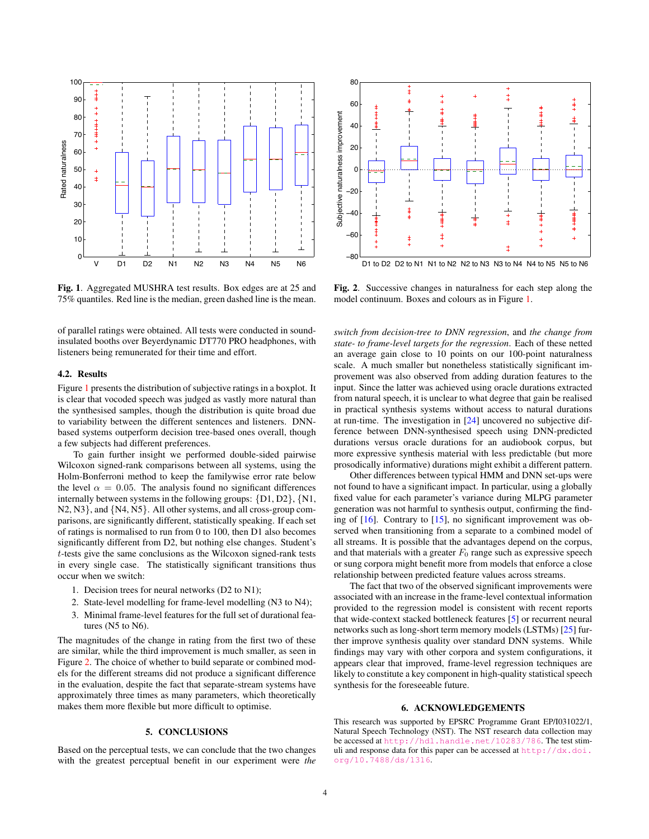

<span id="page-3-0"></span>Fig. 1. Aggregated MUSHRA test results. Box edges are at 25 and 75% quantiles. Red line is the median, green dashed line is the mean.

of parallel ratings were obtained. All tests were conducted in soundinsulated booths over Beyerdynamic DT770 PRO headphones, with listeners being remunerated for their time and effort.

### 4.2. Results

Figure [1](#page-3-0) presents the distribution of subjective ratings in a boxplot. It is clear that vocoded speech was judged as vastly more natural than the synthesised samples, though the distribution is quite broad due to variability between the different sentences and listeners. DNNbased systems outperform decision tree-based ones overall, though a few subjects had different preferences.

To gain further insight we performed double-sided pairwise Wilcoxon signed-rank comparisons between all systems, using the Holm-Bonferroni method to keep the familywise error rate below the level  $\alpha = 0.05$ . The analysis found no significant differences internally between systems in the following groups: {D1, D2}, {N1, N2, N3}, and {N4, N5}. All other systems, and all cross-group comparisons, are significantly different, statistically speaking. If each set of ratings is normalised to run from 0 to 100, then D1 also becomes significantly different from D2, but nothing else changes. Student's t-tests give the same conclusions as the Wilcoxon signed-rank tests in every single case. The statistically significant transitions thus occur when we switch:

- 1. Decision trees for neural networks (D2 to N1);
- 2. State-level modelling for frame-level modelling (N3 to N4);
- 3. Minimal frame-level features for the full set of durational features (N5 to N6).

The magnitudes of the change in rating from the first two of these are similar, while the third improvement is much smaller, as seen in Figure [2.](#page-3-1) The choice of whether to build separate or combined models for the different streams did not produce a significant difference in the evaluation, despite the fact that separate-stream systems have approximately three times as many parameters, which theoretically makes them more flexible but more difficult to optimise.

#### 5. CONCLUSIONS

Based on the perceptual tests, we can conclude that the two changes with the greatest perceptual benefit in our experiment were *the*



<span id="page-3-1"></span>Fig. 2. Successive changes in naturalness for each step along the model continuum. Boxes and colours as in Figure [1.](#page-3-0)

*switch from decision-tree to DNN regression*, and *the change from state- to frame-level targets for the regression*. Each of these netted an average gain close to 10 points on our 100-point naturalness scale. A much smaller but nonetheless statistically significant improvement was also observed from adding duration features to the input. Since the latter was achieved using oracle durations extracted from natural speech, it is unclear to what degree that gain be realised in practical synthesis systems without access to natural durations at run-time. The investigation in [\[24\]](#page-4-23) uncovered no subjective difference between DNN-synthesised speech using DNN-predicted durations versus oracle durations for an audiobook corpus, but more expressive synthesis material with less predictable (but more prosodically informative) durations might exhibit a different pattern.

Other differences between typical HMM and DNN set-ups were not found to have a significant impact. In particular, using a globally fixed value for each parameter's variance during MLPG parameter generation was not harmful to synthesis output, confirming the finding of [\[16\]](#page-4-15). Contrary to [\[15\]](#page-4-14), no significant improvement was observed when transitioning from a separate to a combined model of all streams. It is possible that the advantages depend on the corpus, and that materials with a greater  $F_0$  range such as expressive speech or sung corpora might benefit more from models that enforce a close relationship between predicted feature values across streams.

The fact that two of the observed significant improvements were associated with an increase in the frame-level contextual information provided to the regression model is consistent with recent reports that wide-context stacked bottleneck features [\[5\]](#page-4-4) or recurrent neural networks such as long-short term memory models (LSTMs) [\[25\]](#page-4-24) further improve synthesis quality over standard DNN systems. While findings may vary with other corpora and system configurations, it appears clear that improved, frame-level regression techniques are likely to constitute a key component in high-quality statistical speech synthesis for the foreseeable future.

#### 6. ACKNOWLEDGEMENTS

This research was supported by EPSRC Programme Grant EP/I031022/1, Natural Speech Technology (NST). The NST research data collection may be accessed at <http://hdl.handle.net/10283/786>. The test stimuli and response data for this paper can be accessed at [http://dx.doi.](http://dx.doi.org/10.7488/ds/1316) [org/10.7488/ds/1316](http://dx.doi.org/10.7488/ds/1316).